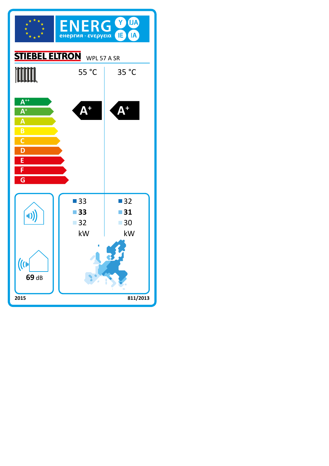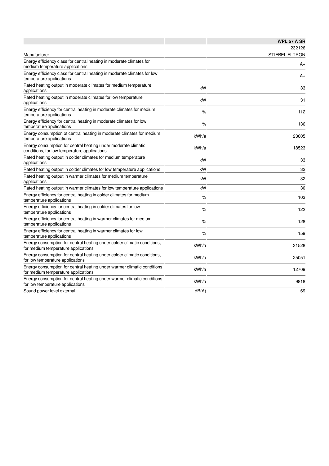|                                                                                                                 |       | <b>WPL 57 A SR</b>    |
|-----------------------------------------------------------------------------------------------------------------|-------|-----------------------|
|                                                                                                                 |       | 232126                |
| Manufacturer                                                                                                    |       | <b>STIEBEL ELTRON</b> |
| Energy efficiency class for central heating in moderate climates for<br>medium temperature applications         |       | A+                    |
| Energy efficiency class for central heating in moderate climates for low<br>temperature applications            |       | A+                    |
| Rated heating output in moderate climates for medium temperature<br>applications                                | kW    | 33                    |
| Rated heating output in moderate climates for low temperature<br>applications                                   | kW    | 31                    |
| Energy efficiency for central heating in moderate climates for medium<br>temperature applications               | %     | 112                   |
| Energy efficiency for central heating in moderate climates for low<br>temperature applications                  | %     | 136                   |
| Energy consumption of central heating in moderate climates for medium<br>temperature applications               | kWh/a | 23605                 |
| Energy consumption for central heating under moderate climatic<br>conditions, for low temperature applications  | kWh/a | 18523                 |
| Rated heating output in colder climates for medium temperature<br>applications                                  | kW    | 33                    |
| Rated heating output in colder climates for low temperature applications                                        | kW    | 32                    |
| Rated heating output in warmer climates for medium temperature<br>applications                                  | kW    | 32                    |
| Rated heating output in warmer climates for low temperature applications                                        | kW    | 30                    |
| Energy efficiency for central heating in colder climates for medium<br>temperature applications                 | $\%$  | 103                   |
| Energy efficiency for central heating in colder climates for low<br>temperature applications                    | $\%$  | 122                   |
| Energy efficiency for central heating in warmer climates for medium<br>temperature applications                 | %     | 128                   |
| Energy efficiency for central heating in warmer climates for low<br>temperature applications                    | $\%$  | 159                   |
| Energy consumption for central heating under colder climatic conditions,<br>for medium temperature applications | kWh/a | 31528                 |
| Energy consumption for central heating under colder climatic conditions,<br>for low temperature applications    | kWh/a | 25051                 |
| Energy consumption for central heating under warmer climatic conditions,<br>for medium temperature applications | kWh/a | 12709                 |
| Energy consumption for central heating under warmer climatic conditions,<br>for low temperature applications    | kWh/a | 9818                  |
| Sound power level external                                                                                      | dB(A) | 69                    |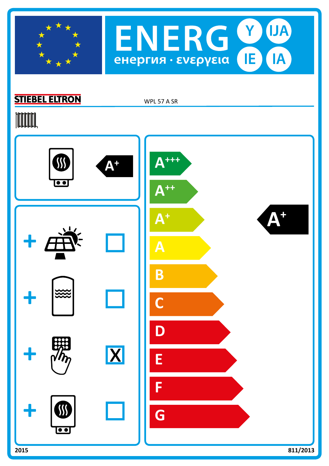



## **STIEBEL ELTRON**

WPL 57 A SR

## **TOOTAL**

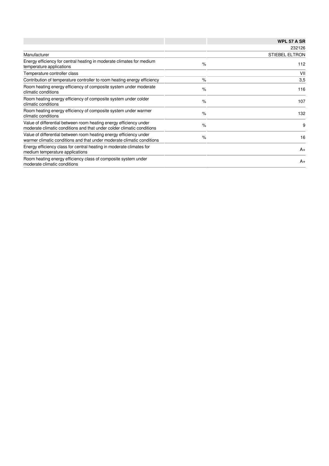|                                                                                                                                              |               | <b>WPL 57 A SR</b>    |  |
|----------------------------------------------------------------------------------------------------------------------------------------------|---------------|-----------------------|--|
|                                                                                                                                              |               | 232126                |  |
| Manufacturer                                                                                                                                 |               | <b>STIEBEL ELTRON</b> |  |
| Energy efficiency for central heating in moderate climates for medium<br>temperature applications                                            | $\%$          | 112                   |  |
| Temperature controller class                                                                                                                 |               | VII                   |  |
| Contribution of temperature controller to room heating energy efficiency                                                                     | $\%$          | 3,5                   |  |
| Room heating energy efficiency of composite system under moderate<br>climatic conditions                                                     | $\%$          | 116                   |  |
| Room heating energy efficiency of composite system under colder<br>climatic conditions                                                       | $\frac{9}{6}$ | 107                   |  |
| Room heating energy efficiency of composite system under warmer<br>climatic conditions                                                       | $\%$          | 132                   |  |
| Value of differential between room heating energy efficiency under<br>moderate climatic conditions and that under colder climatic conditions | $\%$          | 9                     |  |
| Value of differential between room heating energy efficiency under<br>warmer climatic conditions and that under moderate climatic conditions | $\%$          | 16                    |  |
| Energy efficiency class for central heating in moderate climates for<br>medium temperature applications                                      |               | $A+$                  |  |
| Room heating energy efficiency class of composite system under<br>moderate climatic conditions                                               |               | $A+$                  |  |